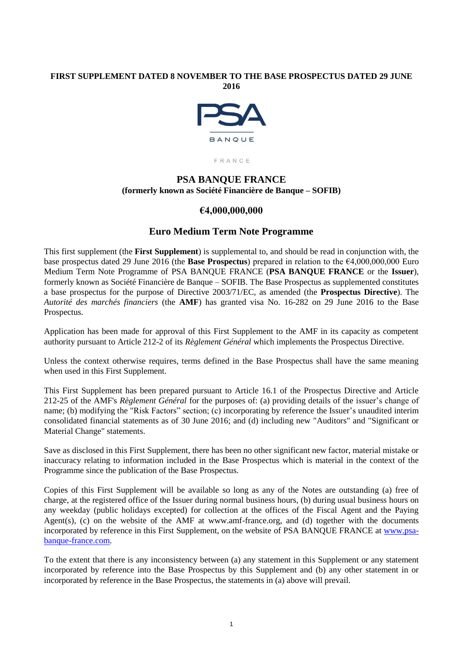### **FIRST SUPPLEMENT DATED 8 NOVEMBER TO THE BASE PROSPECTUS DATED 29 JUNE 2016**



FRANCE

# **PSA BANQUE FRANCE (formerly known as Société Financière de Banque – SOFIB)**

# **€4,000,000,000**

# **Euro Medium Term Note Programme**

This first supplement (the **First Supplement**) is supplemental to, and should be read in conjunction with, the base prospectus dated 29 June 2016 (the **Base Prospectus**) prepared in relation to the €4,000,000,000 Euro Medium Term Note Programme of PSA BANQUE FRANCE (**PSA BANQUE FRANCE** or the **Issuer**), formerly known as Société Financière de Banque – SOFIB. The Base Prospectus as supplemented constitutes a base prospectus for the purpose of Directive 2003/71/EC, as amended (the **Prospectus Directive**). The *Autorité des marchés financiers* (the **AMF**) has granted visa No. 16-282 on 29 June 2016 to the Base Prospectus.

Application has been made for approval of this First Supplement to the AMF in its capacity as competent authority pursuant to Article 212-2 of its *Règlement Général* which implements the Prospectus Directive.

Unless the context otherwise requires, terms defined in the Base Prospectus shall have the same meaning when used in this First Supplement.

This First Supplement has been prepared pursuant to Article 16.1 of the Prospectus Directive and Article 212-25 of the AMF's *Règlement Général* for the purposes of: (a) providing details of the issuer's change of name; (b) modifying the "Risk Factors" section; (c) incorporating by reference the Issuer's unaudited interim consolidated financial statements as of 30 June 2016; and (d) including new "Auditors" and "Significant or Material Change" statements.

Save as disclosed in this First Supplement, there has been no other significant new factor, material mistake or inaccuracy relating to information included in the Base Prospectus which is material in the context of the Programme since the publication of the Base Prospectus.

Copies of this First Supplement will be available so long as any of the Notes are outstanding (a) free of charge, at the registered office of the Issuer during normal business hours, (b) during usual business hours on any weekday (public holidays excepted) for collection at the offices of the Fiscal Agent and the Paying Agent(s), (c) on the website of the AMF at www.amf-france.org, and (d) together with the documents incorporated by reference in this First Supplement, on the website of PSA BANQUE FRANCE at [www.psa](http://www.psa-banque-france.com/)[banque-france.com.](http://www.psa-banque-france.com/)

To the extent that there is any inconsistency between (a) any statement in this Supplement or any statement incorporated by reference into the Base Prospectus by this Supplement and (b) any other statement in or incorporated by reference in the Base Prospectus, the statements in (a) above will prevail.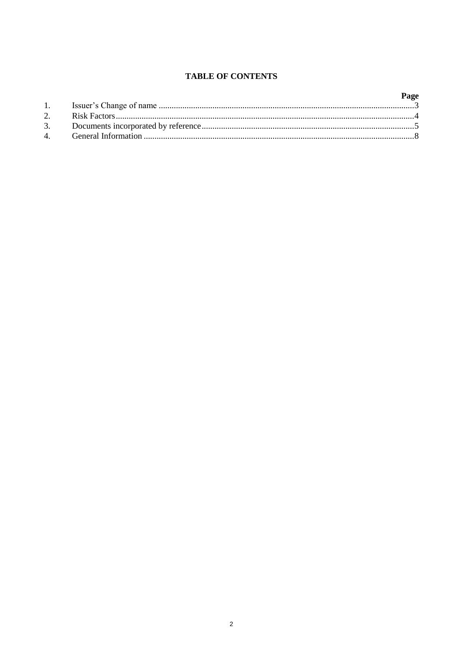# **TABLE OF CONTENTS**

|  | Page |
|--|------|
|  |      |
|  |      |
|  |      |
|  |      |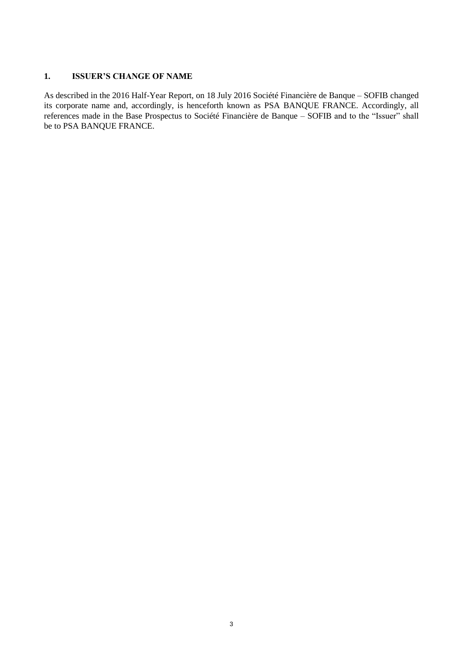### **1. ISSUER'S CHANGE OF NAME**

As described in the 2016 Half-Year Report, on 18 July 2016 Société Financière de Banque – SOFIB changed its corporate name and, accordingly, is henceforth known as PSA BANQUE FRANCE. Accordingly, all references made in the Base Prospectus to Société Financière de Banque – SOFIB and to the "Issuer" shall be to PSA BANQUE FRANCE.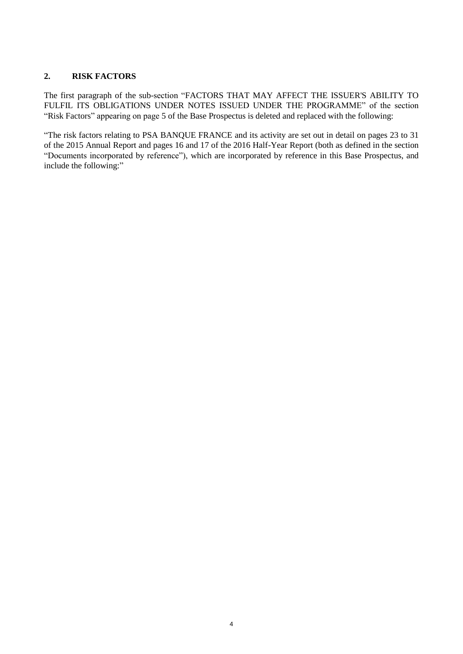# **2. RISK FACTORS**

The first paragraph of the sub-section "FACTORS THAT MAY AFFECT THE ISSUER'S ABILITY TO FULFIL ITS OBLIGATIONS UNDER NOTES ISSUED UNDER THE PROGRAMME" of the section "Risk Factors" appearing on page 5 of the Base Prospectus is deleted and replaced with the following:

"The risk factors relating to PSA BANQUE FRANCE and its activity are set out in detail on pages 23 to 31 of the 2015 Annual Report and pages 16 and 17 of the 2016 Half-Year Report (both as defined in the section "Documents incorporated by reference"), which are incorporated by reference in this Base Prospectus, and include the following:"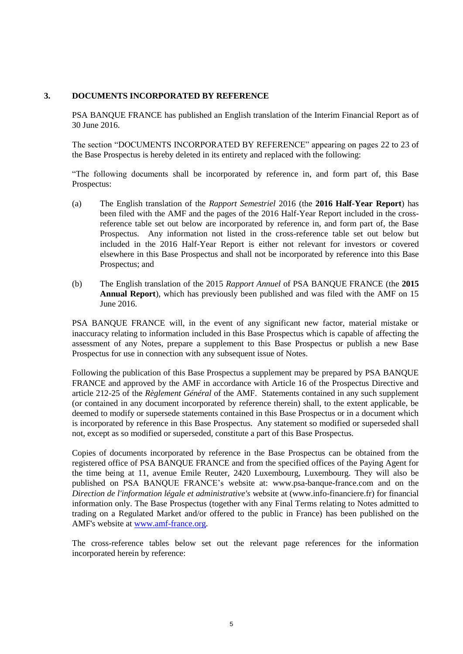#### **3. DOCUMENTS INCORPORATED BY REFERENCE**

PSA BANQUE FRANCE has published an English translation of the Interim Financial Report as of 30 June 2016.

The section "DOCUMENTS INCORPORATED BY REFERENCE" appearing on pages 22 to 23 of the Base Prospectus is hereby deleted in its entirety and replaced with the following:

"The following documents shall be incorporated by reference in, and form part of, this Base Prospectus:

- (a) The English translation of the *Rapport Semestriel* 2016 (the **2016 Half-Year Report**) has been filed with the AMF and the pages of the 2016 Half-Year Report included in the crossreference table set out below are incorporated by reference in, and form part of, the Base Prospectus. Any information not listed in the cross-reference table set out below but included in the 2016 Half-Year Report is either not relevant for investors or covered elsewhere in this Base Prospectus and shall not be incorporated by reference into this Base Prospectus; and
- (b) The English translation of the 2015 *Rapport Annuel* of PSA BANQUE FRANCE (the **2015 Annual Report**), which has previously been published and was filed with the AMF on 15 June 2016.

PSA BANQUE FRANCE will, in the event of any significant new factor, material mistake or inaccuracy relating to information included in this Base Prospectus which is capable of affecting the assessment of any Notes, prepare a supplement to this Base Prospectus or publish a new Base Prospectus for use in connection with any subsequent issue of Notes.

Following the publication of this Base Prospectus a supplement may be prepared by PSA BANQUE FRANCE and approved by the AMF in accordance with Article 16 of the Prospectus Directive and article 212-25 of the *Règlement Général* of the AMF. Statements contained in any such supplement (or contained in any document incorporated by reference therein) shall, to the extent applicable, be deemed to modify or supersede statements contained in this Base Prospectus or in a document which is incorporated by reference in this Base Prospectus. Any statement so modified or superseded shall not, except as so modified or superseded, constitute a part of this Base Prospectus.

Copies of documents incorporated by reference in the Base Prospectus can be obtained from the registered office of PSA BANQUE FRANCE and from the specified offices of the Paying Agent for the time being at 11, avenue Emile Reuter, 2420 Luxembourg, Luxembourg. They will also be published on PSA BANQUE FRANCE's website at: www.psa-banque-france.com and on the *Direction de l'information légale et administrative's* website at (www.info-financiere.fr) for financial information only. The Base Prospectus (together with any Final Terms relating to Notes admitted to trading on a Regulated Market and/or offered to the public in France) has been published on the AMF's website at [www.amf-france.org.](http://www.amf-france.org/)

The cross-reference tables below set out the relevant page references for the information incorporated herein by reference: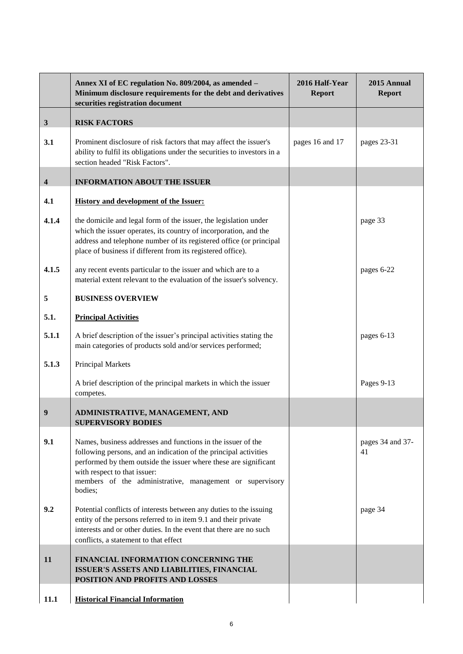|              | Annex XI of EC regulation No. 809/2004, as amended -<br>Minimum disclosure requirements for the debt and derivatives<br>securities registration document                                                                                                                                                    | 2016 Half-Year<br><b>Report</b> | 2015 Annual<br><b>Report</b> |
|--------------|-------------------------------------------------------------------------------------------------------------------------------------------------------------------------------------------------------------------------------------------------------------------------------------------------------------|---------------------------------|------------------------------|
| $\mathbf{3}$ | <b>RISK FACTORS</b>                                                                                                                                                                                                                                                                                         |                                 |                              |
| 3.1          | Prominent disclosure of risk factors that may affect the issuer's<br>ability to fulfil its obligations under the securities to investors in a<br>section headed "Risk Factors".                                                                                                                             | pages 16 and 17                 | pages 23-31                  |
| 4            | <b>INFORMATION ABOUT THE ISSUER</b>                                                                                                                                                                                                                                                                         |                                 |                              |
| 4.1          | <b>History and development of the Issuer:</b>                                                                                                                                                                                                                                                               |                                 |                              |
| 4.1.4        | the domicile and legal form of the issuer, the legislation under<br>which the issuer operates, its country of incorporation, and the<br>address and telephone number of its registered office (or principal<br>place of business if different from its registered office).                                  |                                 | page 33                      |
| 4.1.5        | any recent events particular to the issuer and which are to a<br>material extent relevant to the evaluation of the issuer's solvency.                                                                                                                                                                       |                                 | pages 6-22                   |
| 5            | <b>BUSINESS OVERVIEW</b>                                                                                                                                                                                                                                                                                    |                                 |                              |
| 5.1.         | <b>Principal Activities</b>                                                                                                                                                                                                                                                                                 |                                 |                              |
| 5.1.1        | A brief description of the issuer's principal activities stating the<br>main categories of products sold and/or services performed;                                                                                                                                                                         |                                 | pages 6-13                   |
| 5.1.3        | Principal Markets                                                                                                                                                                                                                                                                                           |                                 |                              |
|              | A brief description of the principal markets in which the issuer<br>competes.                                                                                                                                                                                                                               |                                 | Pages 9-13                   |
| 9            | ADMINISTRATIVE, MANAGEMENT, AND<br>SUPERVISORY BODIES                                                                                                                                                                                                                                                       |                                 |                              |
| 9.1          | Names, business addresses and functions in the issuer of the<br>following persons, and an indication of the principal activities<br>performed by them outside the issuer where these are significant<br>with respect to that issuer:<br>members of the administrative, management or supervisory<br>bodies; |                                 | pages 34 and 37-<br>41       |
| 9.2          | Potential conflicts of interests between any duties to the issuing<br>entity of the persons referred to in item 9.1 and their private<br>interests and or other duties. In the event that there are no such<br>conflicts, a statement to that effect                                                        |                                 | page 34                      |
| 11           | FINANCIAL INFORMATION CONCERNING THE<br>ISSUER'S ASSETS AND LIABILITIES, FINANCIAL<br>POSITION AND PROFITS AND LOSSES                                                                                                                                                                                       |                                 |                              |
| 11.1         | <b>Historical Financial Information</b>                                                                                                                                                                                                                                                                     |                                 |                              |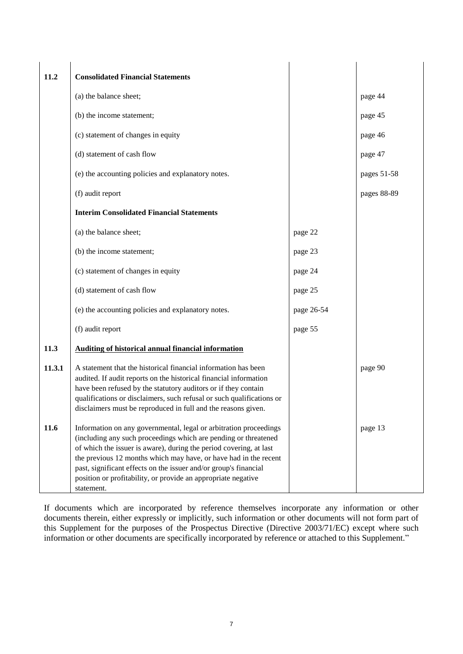| 11.2   | <b>Consolidated Financial Statements</b>                                                                                                                                                                                                                                                                                                                                                                                          |            |             |
|--------|-----------------------------------------------------------------------------------------------------------------------------------------------------------------------------------------------------------------------------------------------------------------------------------------------------------------------------------------------------------------------------------------------------------------------------------|------------|-------------|
|        | (a) the balance sheet;                                                                                                                                                                                                                                                                                                                                                                                                            |            | page 44     |
|        | (b) the income statement;                                                                                                                                                                                                                                                                                                                                                                                                         |            | page 45     |
|        | (c) statement of changes in equity                                                                                                                                                                                                                                                                                                                                                                                                |            | page 46     |
|        | (d) statement of cash flow                                                                                                                                                                                                                                                                                                                                                                                                        |            | page 47     |
|        | (e) the accounting policies and explanatory notes.                                                                                                                                                                                                                                                                                                                                                                                |            | pages 51-58 |
|        | (f) audit report                                                                                                                                                                                                                                                                                                                                                                                                                  |            | pages 88-89 |
|        | <b>Interim Consolidated Financial Statements</b>                                                                                                                                                                                                                                                                                                                                                                                  |            |             |
|        | (a) the balance sheet;                                                                                                                                                                                                                                                                                                                                                                                                            | page 22    |             |
|        | (b) the income statement;                                                                                                                                                                                                                                                                                                                                                                                                         | page 23    |             |
|        | (c) statement of changes in equity                                                                                                                                                                                                                                                                                                                                                                                                | page 24    |             |
|        | (d) statement of cash flow                                                                                                                                                                                                                                                                                                                                                                                                        | page 25    |             |
|        | (e) the accounting policies and explanatory notes.                                                                                                                                                                                                                                                                                                                                                                                | page 26-54 |             |
|        | (f) audit report                                                                                                                                                                                                                                                                                                                                                                                                                  | page 55    |             |
| 11.3   | <b>Auditing of historical annual financial information</b>                                                                                                                                                                                                                                                                                                                                                                        |            |             |
| 11.3.1 | A statement that the historical financial information has been<br>audited. If audit reports on the historical financial information<br>have been refused by the statutory auditors or if they contain<br>qualifications or disclaimers, such refusal or such qualifications or<br>disclaimers must be reproduced in full and the reasons given.                                                                                   |            | page 90     |
| 11.6   | Information on any governmental, legal or arbitration proceedings<br>(including any such proceedings which are pending or threatened<br>of which the issuer is aware), during the period covering, at last<br>the previous 12 months which may have, or have had in the recent<br>past, significant effects on the issuer and/or group's financial<br>position or profitability, or provide an appropriate negative<br>statement. |            | page 13     |

If documents which are incorporated by reference themselves incorporate any information or other documents therein, either expressly or implicitly, such information or other documents will not form part of this Supplement for the purposes of the Prospectus Directive (Directive 2003/71/EC) except where such information or other documents are specifically incorporated by reference or attached to this Supplement."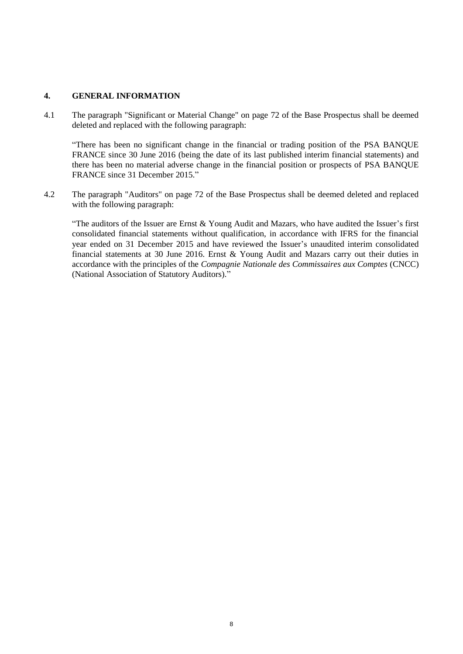#### **4. GENERAL INFORMATION**

4.1 The paragraph "Significant or Material Change" on page 72 of the Base Prospectus shall be deemed deleted and replaced with the following paragraph:

"There has been no significant change in the financial or trading position of the PSA BANQUE FRANCE since 30 June 2016 (being the date of its last published interim financial statements) and there has been no material adverse change in the financial position or prospects of PSA BANQUE FRANCE since 31 December 2015."

4.2 The paragraph "Auditors" on page 72 of the Base Prospectus shall be deemed deleted and replaced with the following paragraph:

"The auditors of the Issuer are Ernst & Young Audit and Mazars, who have audited the Issuer's first consolidated financial statements without qualification, in accordance with IFRS for the financial year ended on 31 December 2015 and have reviewed the Issuer's unaudited interim consolidated financial statements at 30 June 2016. Ernst & Young Audit and Mazars carry out their duties in accordance with the principles of the *Compagnie Nationale des Commissaires aux Comptes* (CNCC) (National Association of Statutory Auditors)."